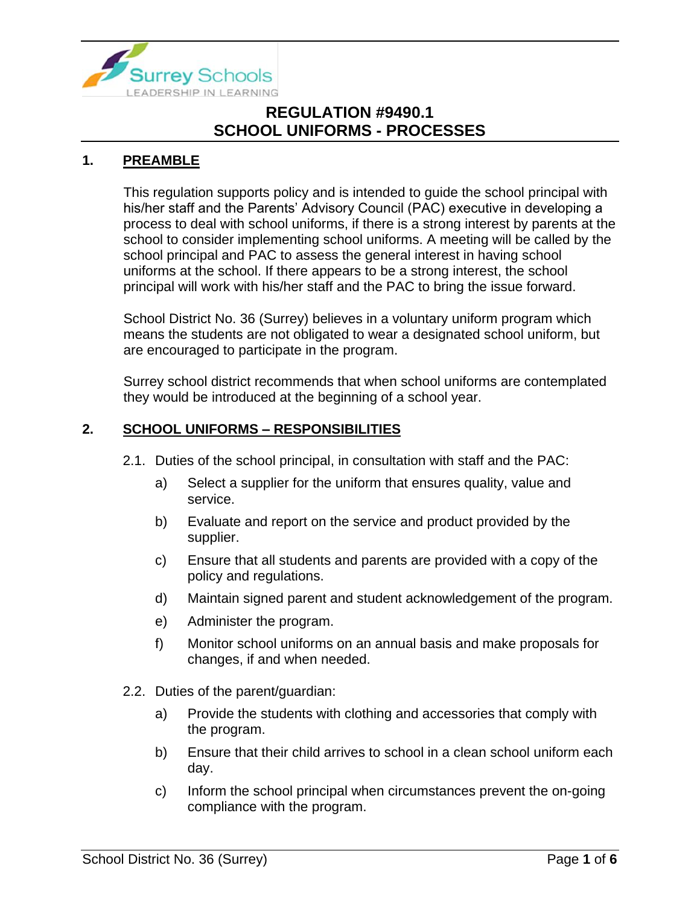

#### **1. PREAMBLE**

This regulation supports policy and is intended to guide the school principal with his/her staff and the Parents' Advisory Council (PAC) executive in developing a process to deal with school uniforms, if there is a strong interest by parents at the school to consider implementing school uniforms. A meeting will be called by the school principal and PAC to assess the general interest in having school uniforms at the school. If there appears to be a strong interest, the school principal will work with his/her staff and the PAC to bring the issue forward.

School District No. 36 (Surrey) believes in a voluntary uniform program which means the students are not obligated to wear a designated school uniform, but are encouraged to participate in the program.

Surrey school district recommends that when school uniforms are contemplated they would be introduced at the beginning of a school year.

#### **2. SCHOOL UNIFORMS – RESPONSIBILITIES**

- 2.1. Duties of the school principal, in consultation with staff and the PAC:
	- a) Select a supplier for the uniform that ensures quality, value and service.
	- b) Evaluate and report on the service and product provided by the supplier.
	- c) Ensure that all students and parents are provided with a copy of the policy and regulations.
	- d) Maintain signed parent and student acknowledgement of the program.
	- e) Administer the program.
	- f) Monitor school uniforms on an annual basis and make proposals for changes, if and when needed.
- 2.2. Duties of the parent/guardian:
	- a) Provide the students with clothing and accessories that comply with the program.
	- b) Ensure that their child arrives to school in a clean school uniform each day.
	- c) Inform the school principal when circumstances prevent the on-going compliance with the program.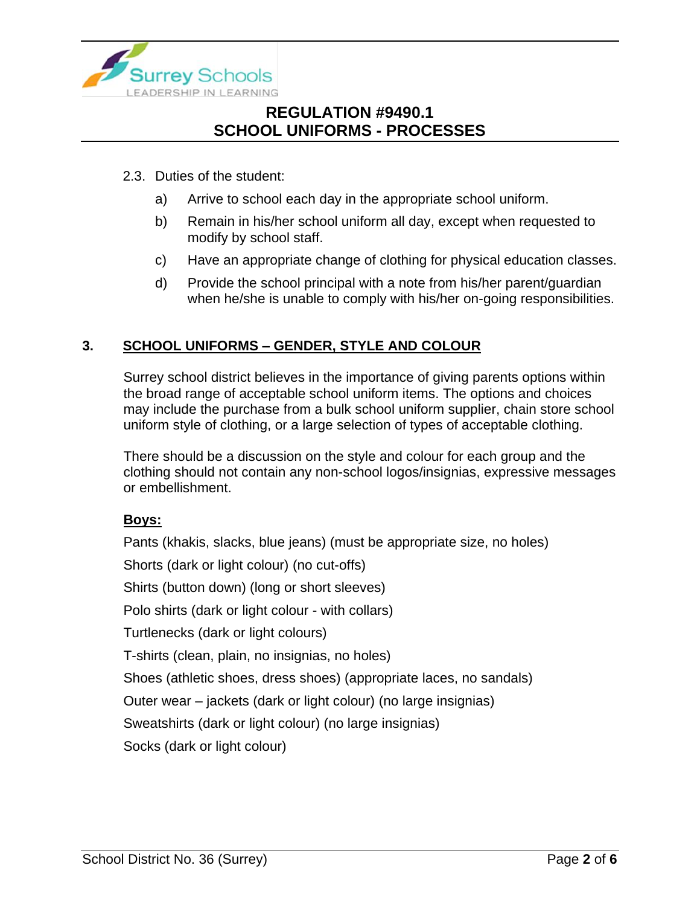

- 2.3. Duties of the student:
	- a) Arrive to school each day in the appropriate school uniform.
	- b) Remain in his/her school uniform all day, except when requested to modify by school staff.
	- c) Have an appropriate change of clothing for physical education classes.
	- d) Provide the school principal with a note from his/her parent/guardian when he/she is unable to comply with his/her on-going responsibilities.

#### **3. SCHOOL UNIFORMS – GENDER, STYLE AND COLOUR**

Surrey school district believes in the importance of giving parents options within the broad range of acceptable school uniform items. The options and choices may include the purchase from a bulk school uniform supplier, chain store school uniform style of clothing, or a large selection of types of acceptable clothing.

There should be a discussion on the style and colour for each group and the clothing should not contain any non-school logos/insignias, expressive messages or embellishment.

#### **Boys:**

Pants (khakis, slacks, blue jeans) (must be appropriate size, no holes) Shorts (dark or light colour) (no cut-offs) Shirts (button down) (long or short sleeves) Polo shirts (dark or light colour - with collars) Turtlenecks (dark or light colours) T-shirts (clean, plain, no insignias, no holes) Shoes (athletic shoes, dress shoes) (appropriate laces, no sandals) Outer wear – jackets (dark or light colour) (no large insignias) Sweatshirts (dark or light colour) (no large insignias) Socks (dark or light colour)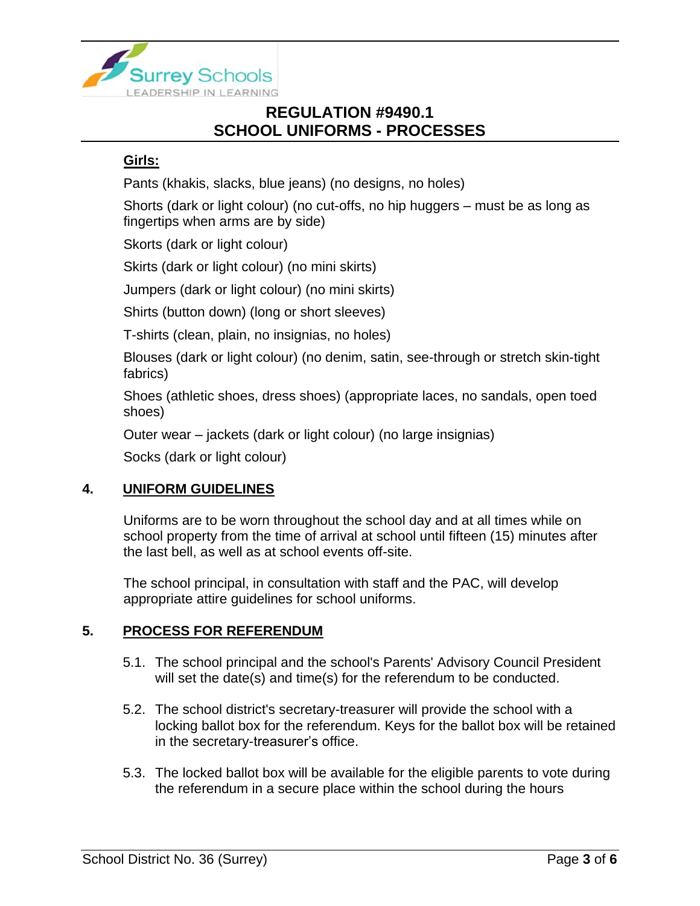

#### **Girls:**

Pants (khakis, slacks, blue jeans) (no designs, no holes)

Shorts (dark or light colour) (no cut-offs, no hip huggers – must be as long as fingertips when arms are by side)

Skorts (dark or light colour)

Skirts (dark or light colour) (no mini skirts)

Jumpers (dark or light colour) (no mini skirts)

Shirts (button down) (long or short sleeves)

T-shirts (clean, plain, no insignias, no holes)

Blouses (dark or light colour) (no denim, satin, see-through or stretch skin-tight fabrics)

Shoes (athletic shoes, dress shoes) (appropriate laces, no sandals, open toed shoes)

Outer wear – jackets (dark or light colour) (no large insignias)

Socks (dark or light colour)

#### **4. UNIFORM GUIDELINES**

Uniforms are to be worn throughout the school day and at all times while on school property from the time of arrival at school until fifteen (15) minutes after the last bell, as well as at school events off-site.

The school principal, in consultation with staff and the PAC, will develop appropriate attire guidelines for school uniforms.

#### **5. PROCESS FOR REFERENDUM**

- 5.1. The school principal and the school's Parents' Advisory Council President will set the date(s) and time(s) for the referendum to be conducted.
- 5.2. The school district's secretary-treasurer will provide the school with a locking ballot box for the referendum. Keys for the ballot box will be retained in the secretary-treasurer's office.
- 5.3. The locked ballot box will be available for the eligible parents to vote during the referendum in a secure place within the school during the hours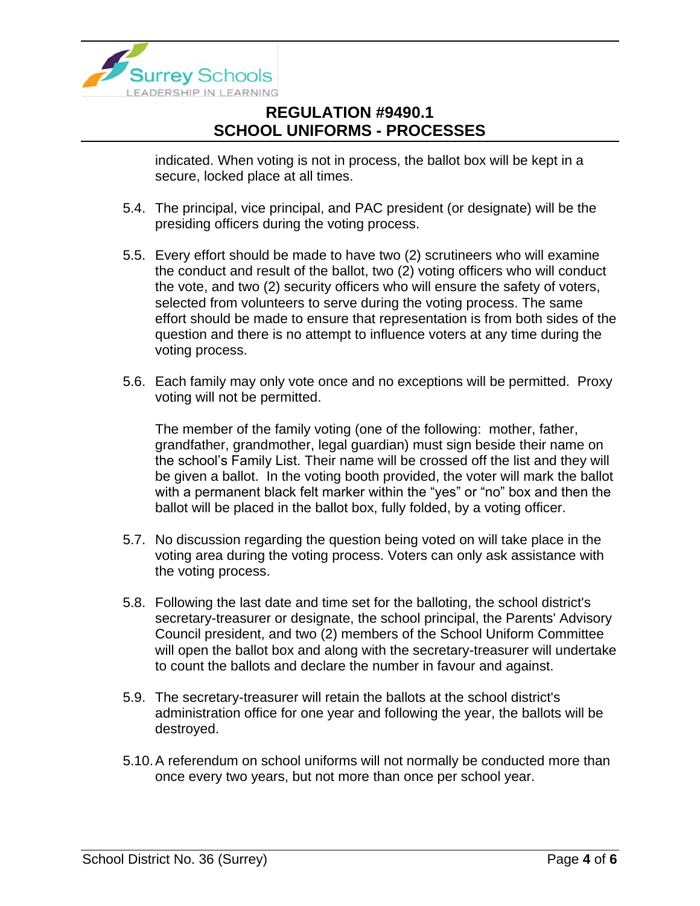

indicated. When voting is not in process, the ballot box will be kept in a secure, locked place at all times.

- 5.4. The principal, vice principal, and PAC president (or designate) will be the presiding officers during the voting process.
- 5.5. Every effort should be made to have two (2) scrutineers who will examine the conduct and result of the ballot, two (2) voting officers who will conduct the vote, and two (2) security officers who will ensure the safety of voters, selected from volunteers to serve during the voting process. The same effort should be made to ensure that representation is from both sides of the question and there is no attempt to influence voters at any time during the voting process.
- 5.6. Each family may only vote once and no exceptions will be permitted. Proxy voting will not be permitted.

The member of the family voting (one of the following: mother, father, grandfather, grandmother, legal guardian) must sign beside their name on the school's Family List. Their name will be crossed off the list and they will be given a ballot. In the voting booth provided, the voter will mark the ballot with a permanent black felt marker within the "yes" or "no" box and then the ballot will be placed in the ballot box, fully folded, by a voting officer.

- 5.7. No discussion regarding the question being voted on will take place in the voting area during the voting process. Voters can only ask assistance with the voting process.
- 5.8. Following the last date and time set for the balloting, the school district's secretary-treasurer or designate, the school principal, the Parents' Advisory Council president, and two (2) members of the School Uniform Committee will open the ballot box and along with the secretary-treasurer will undertake to count the ballots and declare the number in favour and against.
- 5.9. The secretary-treasurer will retain the ballots at the school district's administration office for one year and following the year, the ballots will be destroyed.
- 5.10.A referendum on school uniforms will not normally be conducted more than once every two years, but not more than once per school year.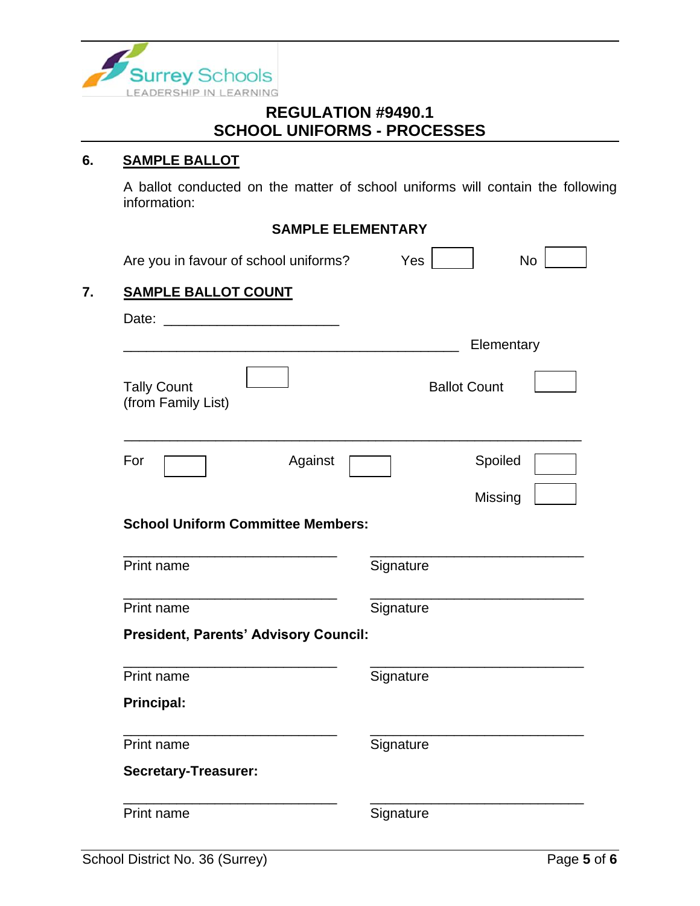

#### **6. SAMPLE BALLOT**

A ballot conducted on the matter of school uniforms will contain the following information:

# **SAMPLE ELEMENTARY**

|                                          | Are you in favour of school uniforms?                                                                                                                                                                                                | Yes                 | <b>No</b>  |
|------------------------------------------|--------------------------------------------------------------------------------------------------------------------------------------------------------------------------------------------------------------------------------------|---------------------|------------|
| <b>SAMPLE BALLOT COUNT</b>               |                                                                                                                                                                                                                                      |                     |            |
| Date:                                    | <u>and the state of the state of the state of the state of the state of the state of the state of the state of the state of the state of the state of the state of the state of the state of the state of the state of the state</u> |                     |            |
|                                          |                                                                                                                                                                                                                                      |                     | Elementary |
| <b>Tally Count</b><br>(from Family List) |                                                                                                                                                                                                                                      | <b>Ballot Count</b> |            |
| For                                      | Against                                                                                                                                                                                                                              |                     | Spoiled    |
|                                          |                                                                                                                                                                                                                                      |                     | Missing    |
|                                          | <b>School Uniform Committee Members:</b>                                                                                                                                                                                             |                     |            |
| Print name                               |                                                                                                                                                                                                                                      | Signature           |            |
| Print name                               |                                                                                                                                                                                                                                      | Signature           |            |
|                                          | <b>President, Parents' Advisory Council:</b>                                                                                                                                                                                         |                     |            |
| Print name                               |                                                                                                                                                                                                                                      | Signature           |            |
| <b>Principal:</b>                        |                                                                                                                                                                                                                                      |                     |            |
| Print name                               |                                                                                                                                                                                                                                      | Signature           |            |
| <b>Secretary-Treasurer:</b>              |                                                                                                                                                                                                                                      |                     |            |